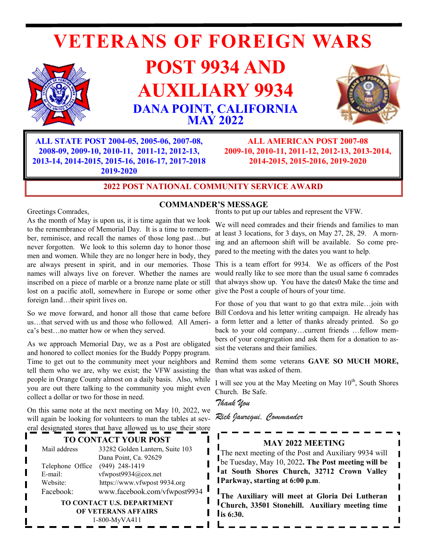# **VETERANS OF FOREIGN WARS**



## **POST 9934 AND AUXILIARY 9934 DANA POINT, CALIFORNIA MAY 2022**



**ALL STATE POST 2004-05, 2005-06, 2007-08, 2008-09, 2009-10, 2010-11, 2011-12, 2012-13, 2013-14, 2014-2015, 2015-16, 2016-17, 2017-2018 2019-2020**

**ALL AMERICAN POST 2007-08 2009-10, 2010-11, 2011-12, 2012-13, 2013-2014, 2014-2015, 2015-2016, 2019-2020**

## **2022 POST NATIONAL COMMUNITY SERVICE AWARD**

Greetings Comrades,

## **COMMANDER'S MESSAGE**

As the month of May is upon us, it is time again that we look to the remembrance of Memorial Day. It is a time to remember, reminisce, and recall the names of those long past…but never forgotten. We look to this solemn day to honor those men and women. While they are no longer here in body, they are always present in spirit, and in our memories. Those names will always live on forever. Whether the names are inscribed on a piece of marble or a bronze name plate or still lost on a pacific atoll, somewhere in Europe or some other give the Post a couple of hours of your time. foreign land…their spirit lives on.

So we move forward, and honor all those that came before us…that served with us and those who followed. All America's best…no matter how or when they served.

As we approach Memorial Day, we as a Post are obligated and honored to collect monies for the Buddy Poppy program. Time to get out to the community meet your neighbors and tell them who we are, why we exist; the VFW assisting the people in Orange County almost on a daily basis. Also, while you are out there talking to the community you might even collect a dollar or two for those in need.

On this same note at the next meeting on May 10, 2022, we will again be looking for volunteers to man the tables at several designated stores that have allowed us to use their store

## **TO CONTACT YOUR POST**

| 33282 Golden Lantern, Suite 103 |
|---------------------------------|
| Dana Point, Ca. 92629           |
| $(949)$ 248-1419                |
| vfwpost9934@cox.net             |
| https://www.vfwpost 9934.org    |
| www.facebook.com/vfwpost9934    |
|                                 |

**TO CONTACT U.S. DEPARTMENT OF VETERANS AFFAIRS** 1-800-MyVA411

fronts to put up our tables and represent the VFW.

We will need comrades and their friends and families to man at least 3 locations, for 3 days, on May 27, 28, 29. A morning and an afternoon shift will be available. So come prepared to the meeting with the dates you want to help.

This is a team effort for 9934. We as officers of the Post would really like to see more than the usual same 6 comrades that always show up. You have the dates0 Make the time and

For those of you that want to go that extra mile…join with Bill Cordova and his letter writing campaign. He already has a form letter and a letter of thanks already printed. So go back to your old company…current friends …fellow members of your congregation and ask them for a donation to assist the veterans and their families.

Remind them some veterans **GAVE SO MUCH MORE,**  than what was asked of them.

I will see you at the May Meeting on May  $10<sup>th</sup>$ , South Shores Church. Be Safe.

*Thank You* 

*Rick Jauregui, Commander*

## **MAY 2022 MEETING**

The next meeting of the Post and Auxiliary 9934 will be Tuesday, May 10, 2022**. The Post meeting will be at South Shores Church, 32712 Crown Valley Parkway, starting at 6:00 p.m**.

**The Auxiliary will meet at Gloria Dei Lutheran Church, 33501 Stonehill. Auxiliary meeting time is 6:30.**

Π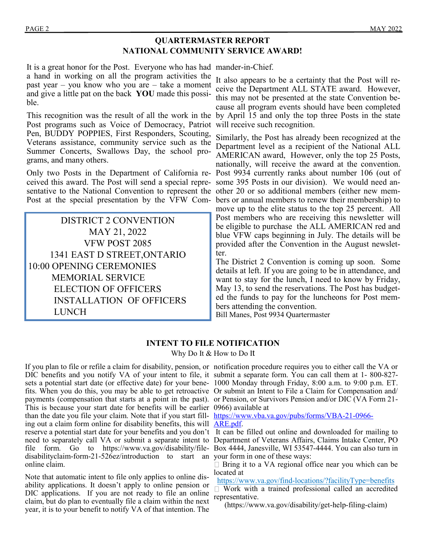## **QUARTERMASTER REPORT NATIONAL COMMUNITY SERVICE AWARD!**

It is a great honor for the Post. Everyone who has had mander-in-Chief. a hand in working on all the program activities the past year – you know who you are – take a moment and give a little pat on the back **YOU** made this possible.

Post programs such as Voice of Democracy, Patriot Pen, BUDDY POPPIES, First Responders, Scouting, Veterans assistance, community service such as the Summer Concerts, Swallows Day, the school programs, and many others.

ceived this award. The Post will send a special repre-some 395 Posts in our division). We would need ansentative to the National Convention to represent the other 20 or so additional members (either new mem-

DISTRICT 2 CONVENTION MAY 21, 2022 VFW POST 2085 1341 EAST D STREET,ONTARIO 10:00 OPENING CEREMONIES MEMORIAL SERVICE ELECTION OF OFFICERS INSTALLATION OF OFFICERS LUNCH

This recognition was the result of all the work in the by April 15 and only the top three Posts in the state It also appears to be a certainty that the Post will receive the Department ALL STATE award. However, this may not be presented at the state Convention because all program events should have been completed will receive such recognition.

Only two Posts in the Department of California re-Post 9934 currently ranks about number 106 (out of Post at the special presentation by the VFW Com-bers or annual members to renew their membership) to Similarly, the Post has already been recognized at the Department level as a recipient of the National ALL AMERICAN award, However, only the top 25 Posts, nationally, will receive the award at the convention. move up to the elite status to the top 25 percent. All Post members who are receiving this newsletter will be eligible to purchase the ALL AMERICAN red and blue VFW caps beginning in July. The details will be provided after the Convention in the August newsletter.

> The District 2 Convention is coming up soon. Some details at left. If you are going to be in attendance, and want to stay for the lunch, I need to know by Friday, May 13, to send the reservations. The Post has budgeted the funds to pay for the luncheons for Post members attending the convention.

Bill Manes, Post 9934 Quartermaster

## **INTENT TO FILE NOTIFICATION**

Why Do It & How to Do It

If you plan to file or refile a claim for disability, pension, or notification procedure requires you to either call the VA or DIC benefits and you notify VA of your intent to file, it submit a separate form. You can call them at 1- 800-827 sets a potential start date (or effective date) for your bene-1000 Monday through Friday, 8:00 a.m. to 9:00 p.m. ET. fits. When you do this, you may be able to get retroactive Or submit an Intent to File a Claim for Compensation and/ payments (compensation that starts at a point in the past). or Pension, or Survivors Pension and/or DIC (VA Form 21- This is because your start date for benefits will be earlier 0966) available at than the date you file your claim. Note that if you start fill- [https://www.vba.va.gov/pubs/forms/VBA](https://www.vba.va.gov/pubs/forms/VBA-21-0966-ARE.pdf)-21-0966ing out a claim form online for disability benefits, this will **ARE**.pdf. disabilityclaim-form-21-526ez/introduction to start an your form in one of these ways: online claim.

Note that automatic intent to file only applies to online disability applications. It doesn't apply to online pension or DIC applications. If you are not ready to file an online claim, but do plan to eventually file a claim within the next year, it is to your benefit to notify VA of that intention. The

reserve a potential start date for your benefits and you don't It can be filled out online and downloaded for mailing to need to separately call VA or submit a separate intent to Department of Veterans Affairs, Claims Intake Center, PO file form. Go to https://www.va.gov/disability/file-Box 4444, Janesville, WI 53547-4444. You can also turn in

□ Bring it to a VA regional office near you which can be located at

https://www.va.gov/find-locations/?facilityType=benefits

 $\Box$ Work with a trained professional called an accredited representative.

(https://www.va.gov/disability/get-help-filing-claim)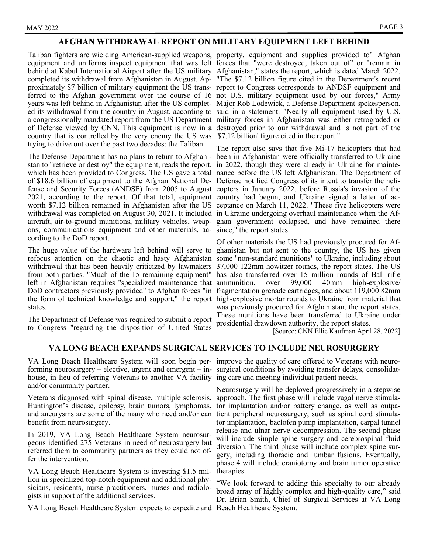#### **AFGHAN WITHDRAWAL REPORT ON MILITARY EQUIPMENT LEFT BEHIND**

equipment and uniforms inspect equipment that was left forces that "were destroyed, taken out of" or "remain in behind at Kabul International Airport after the US military Afghanistan," states the report, which is dated March 2022. completed its withdrawal from Afghanistan in August. Ap-"The \$7.12 billion figure cited in the Department's recent proximately \$7 billion of military equipment the US trans-report to Congress corresponds to ANDSF equipment and ferred to the Afghan government over the course of 16 not U.S. military equipment used by our forces," Army years was left behind in Afghanistan after the US complet-Major Rob Lodewick, a Defense Department spokesperson, ed its withdrawal from the country in August, according to said in a statement. "Nearly all equipment used by U.S. a congressionally mandated report from the US Department military forces in Afghanistan was either retrograded or of Defense viewed by CNN. This equipment is now in a destroyed prior to our withdrawal and is not part of the country that is controlled by the very enemy the US was '\$7.12 billion' figure cited in the report." trying to drive out over the past two decades: the Taliban.

stan to "retrieve or destroy" the equipment, reads the report, in 2022, though they were already in Ukraine for mainteof \$18.6 billion of equipment to the Afghan National De-Defense notified Congress of its intent to transfer the heli-2021, according to the report. Of that total, equipment country had begun, and Ukraine signed a letter of acwithdrawal was completed on August 30, 2021. It included in Ukraine undergoing overhaul maintenance when the Afons, communications equipment and other materials, ac-since," the report states. cording to the DoD report.

left in Afghanistan requires "specialized maintenance that states.

The Department of Defense was required to submit a report to Congress "regarding the disposition of United States

Taliban fighters are wielding American-supplied weapons, property, equipment and supplies provided to" Afghan

The Defense Department has no plans to return to Afghani-been in Afghanistan were officially transferred to Ukraine which has been provided to Congress. The US gave a total nance before the US left Afghanistan. The Department of fense and Security Forces (ANDSF) from 2005 to August copters in January 2022, before Russia's invasion of the worth \$7.12 billion remained in Afghanistan after the US ceptance on March 11, 2022. "These five helicopters were aircraft, air-to-ground munitions, military vehicles, weap-ghan government collapsed, and have remained there The report also says that five Mi-17 helicopters that had

The huge value of the hardware left behind will serve to ghanistan but not sent to the country, the US has given refocus attention on the chaotic and hasty Afghanistan some "non-standard munitions" to Ukraine, including about withdrawal that has been heavily criticized by lawmakers 37,000 122mm howitzer rounds, the report states. The US from both parties. "Much of the 15 remaining equipment" has also transferred over 15 million rounds of Ball rifle DoD contractors previously provided" to Afghan forces "in fragmentation grenade cartridges, and about 119,000 82mm the form of technical knowledge and support," the report high-explosive mortar rounds to Ukraine from material that Of other materials the US had previously procured for Af $over \ 99,000$  40mm high-explosive was previously procured for Afghanistan, the report states. These munitions have been transferred to Ukraine under presidential drawdown authority, the report states.

[Source: CNN Ellie Kaufman April 28, 2022]

#### **VA LONG BEACH EXPANDS SURGICAL SERVICES TO INCLUDE NEUROSURGERY**

house, in lieu of referring Veterans to another VA facility ing care and meeting individual patient needs. and/or community partner.

Veterans diagnosed with spinal disease, multiple sclerosis, Huntington's disease, epilepsy, brain tumors, lymphomas, tor implantation and/or battery change, as well as outpaand aneurysms are some of the many who need and/or can tient peripheral neurosurgery, such as spinal cord stimulabenefit from neurosurgery.

In 2019, VA Long Beach Healthcare System neurosurgeons identified 275 Veterans in need of neurosurgery but referred them to community partners as they could not offer the intervention.

VA Long Beach Healthcare System is investing \$1.5 million in specialized top-notch equipment and additional physicians, residents, nurse practitioners, nurses and radiologists in support of the additional services.

VA Long Beach Healthcare System expects to expedite and Beach Healthcare System.

VA Long Beach Healthcare System will soon begin per-improve the quality of care offered to Veterans with neuroforming neurosurgery – elective, urgent and emergent – in-surgical conditions by avoiding transfer delays, consolidat-

> Neurosurgery will be deployed progressively in a stepwise approach. The first phase will include vagal nerve stimulator implantation, baclofen pump implantation, carpal tunnel release and ulnar nerve decompression. The second phase will include simple spine surgery and cerebrospinal fluid diversion. The third phase will include complex spine surgery, including thoracic and lumbar fusions. Eventually, phase 4 will include craniotomy and brain tumor operative therapies.

> "We look forward to adding this specialty to our already broad array of highly complex and high-quality care," said Dr. Brian Smith, Chief of Surgical Services at VA Long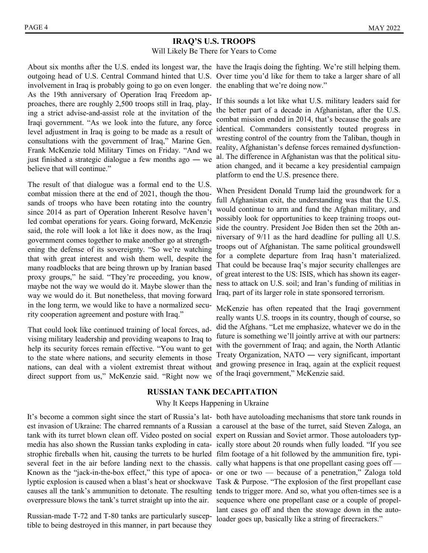## **IRAQ'S U.S. TROOPS**

Will Likely Be There for Years to Come

outgoing head of U.S. Central Command hinted that U.S. Over time you'd like for them to take a larger share of all involvement in Iraq is probably going to go on even longer. the enabling that we're doing now." As the 19th anniversary of Operation Iraq Freedom approaches, there are roughly 2,500 troops still in Iraq, playing a strict advise-and-assist role at the invitation of the Iraqi government. "As we look into the future, any force level adjustment in Iraq is going to be made as a result of consultations with the government of Iraq," Marine Gen. Frank McKenzie told Military Times on Friday. "And we just finished a strategic dialogue a few months ago ― we believe that will continue."

The result of that dialogue was a formal end to the U.S. combat mission there at the end of 2021, though the thousands of troops who have been rotating into the country since 2014 as part of Operation Inherent Resolve haven't led combat operations for years. Going forward, McKenzie said, the role will look a lot like it does now, as the Iraqi government comes together to make another go at strengthening the defense of its sovereignty. "So we're watching that with great interest and wish them well, despite the many roadblocks that are being thrown up by Iranian based proxy groups," he said. "They're proceeding, you know, maybe not the way we would do it. Maybe slower than the way we would do it. But nonetheless, that moving forward in the long term, we would like to have a normalized security cooperation agreement and posture with Iraq."

That could look like continued training of local forces, advising military leadership and providing weapons to Iraq to help its security forces remain effective. "You want to get to the state where nations, and security elements in those nations, can deal with a violent extremist threat without direct support from us," McKenzie said. "Right now we

About six months after the U.S. ended its longest war, the have the Iraqis doing the fighting. We're still helping them.

If this sounds a lot like what U.S. military leaders said for the better part of a decade in Afghanistan, after the U.S. combat mission ended in 2014, that's because the goals are identical. Commanders consistently touted progress in wresting control of the country from the Taliban, though in reality, Afghanistan's defense forces remained dysfunctional. The difference in Afghanistan was that the political situation changed, and it became a key presidential campaign platform to end the U.S. presence there.

When President Donald Trump laid the groundwork for a full Afghanistan exit, the understanding was that the U.S. would continue to arm and fund the Afghan military, and possibly look for opportunities to keep training troops outside the country. President Joe Biden then set the 20th anniversary of 9/11 as the hard deadline for pulling all U.S. troops out of Afghanistan. The same political groundswell for a complete departure from Iraq hasn't materialized. That could be because Iraq's major security challenges are of great interest to the US: ISIS, which has shown its eagerness to attack on U.S. soil; and Iran's funding of militias in Iraq, part of its larger role in state sponsored terrorism.

McKenzie has often repeated that the Iraqi government really wants U.S. troops in its country, though of course, so did the Afghans. "Let me emphasize, whatever we do in the future is something we'll jointly arrive at with our partners: with the government of Iraq; and again, the North Atlantic Treaty Organization, NATO ― very significant, important and growing presence in Iraq, again at the explicit request of the Iraqi government," McKenzie said.

#### **RUSSIAN TANK DECAPITATION**

#### Why It Keeps Happening in Ukraine

tank with its turret blown clean off. Video posted on social expert on Russian and Soviet armor. Those autoloaders typstrophic fireballs when hit, causing the turrets to be hurled film footage of a hit followed by the ammunition fire, typiseveral feet in the air before landing next to the chassis. cally what happens is that one propellant casing goes off overpressure blows the tank's turret straight up into the air.

Russian-made T-72 and T-80 tanks are particularly susceptible to being destroyed in this manner, in part because they

It's become a common sight since the start of Russia's lat-both have autoloading mechanisms that store tank rounds in est invasion of Ukraine: The charred remnants of a Russian a carousel at the base of the turret, said Steven Zaloga, an media has also shown the Russian tanks exploding in cata-ically store about 20 rounds when fully loaded. "If you see Known as the "jack-in-the-box effect," this type of apoca-or one or two — because of a penetration," Zaloga told lyptic explosion is caused when a blast's heat or shockwave Task & Purpose. "The explosion of the first propellant case causes all the tank's ammunition to detonate. The resulting tends to trigger more. And so, what you often-times see is a sequence where one propellant case or a couple of propellant cases go off and then the stowage down in the autoloader goes up, basically like a string of firecrackers."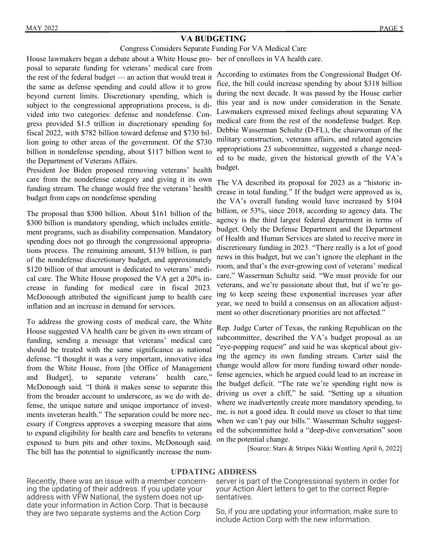## **VA BUDGETING**

#### Congress Considers Separate Funding For VA Medical Care

House lawmakers began a debate about a White House pro-ber of enrollees in VA health care.

posal to separate funding for veterans' medical care from the rest of the federal budget — an action that would treat it the same as defense spending and could allow it to grow beyond current limits. Discretionary spending, which is subject to the congressional appropriations process, is divided into two categories: defense and nondefense. Congress provided \$1.5 trillion in discretionary spending for fiscal 2022, with \$782 billion toward defense and \$730 billion going to other areas of the government. Of the \$730 billion in nondefense spending, about \$117 billion went to the Department of Veterans Affairs.

President Joe Biden proposed removing veterans' health care from the nondefense category and giving it its own funding stream. The change would free the veterans' health budget from caps on nondefense spending

The proposal than \$300 billion. About \$161 billion of the \$300 billion is mandatory spending, which includes entitlement programs, such as disability compensation. Mandatory spending does not go through the congressional appropriations process. The remaining amount, \$139 billion, is part of the nondefense discretionary budget, and approximately \$120 billion of that amount is dedicated to veterans' medical care. The White House proposed the VA get a 20% increase in funding for medical care in fiscal 2023. McDonough attributed the significant jump to health care inflation and an increase in demand for services.

To address the growing costs of medical care, the White House suggested VA health care be given its own stream of funding, sending a message that veterans' medical care should be treated with the same significance as national defense. "I thought it was a very important, innovative idea from the White House, from [the Office of Management and Budget], to separate veterans' health care," McDonough said. "I think it makes sense to separate this from the broader account to underscore, as we do with defense, the unique nature and unique importance of investments inveteran health." The separation could be more necessary if Congress approves a sweeping measure that aims to expand eligibility for health care and benefits to veterans exposed to burn pits and other toxins, McDonough said. The bill has the potential to significantly increase the num-

According to estimates from the Congressional Budget Office, the bill could increase spending by about \$318 billion during the next decade. It was passed by the House earlier this year and is now under consideration in the Senate. Lawmakers expressed mixed feelings about separating VA medical care from the rest of the nondefense budget. Rep. Debbie Wasserman Schultz (D-FL), the chairwoman of the military construction, veterans affairs, and related agencies appropriations 23 subcommittee, suggested a change needed to be made, given the historical growth of the VA's budget.

The VA described its proposal for 2023 as a "historic increase in total funding." If the budget were approved as is, the VA's overall funding would have increased by \$104 billion, or 53%, since 2018, according to agency data. The agency is the third largest federal department in terms of budget. Only the Defense Department and the Department of Health and Human Services are slated to receive more in discretionary funding in 2023. "There really is a lot of good news in this budget, but we can't ignore the elephant in the room, and that's the ever-growing cost of veterans' medical care," Wasserman Schultz said. "We must provide for our veterans, and we're passionate about that, but if we're going to keep seeing these exponential increases year after year, we need to build a consensus on an allocation adjustment so other discretionary priorities are not affected."

Rep. Judge Carter of Texas, the ranking Republican on the subcommittee, described the VA's budget proposal as an "eye-popping request" and said he was skeptical about giving the agency its own funding stream. Carter said the change would allow for more funding toward other nondefense agencies, which he argued could lead to an increase in the budget deficit. "The rate we're spending right now is driving us over a cliff," he said. "Setting up a situation where we inadvertently create more mandatory spending, to me, is not a good idea. It could move us closer to that time when we can't pay our bills." Wasserman Schultz suggested the subcommittee hold a "deep-dive conversation" soon on the potential change.

[Source: Stars & Stripes Nikki Wentling April 6, 2022]

#### **UPDATING ADDRESS**

Recently, there was an issue with a member concerning the updating of their address. If you update your address with VFW National, the system does not update your information in Action Corp. That is because they are two separate systems and the Action Corp

server is part of the Congressional system in order for your Action Alert letters to get to the correct Representatives.

So, if you are updating your information, make sure to include Action Corp with the new information.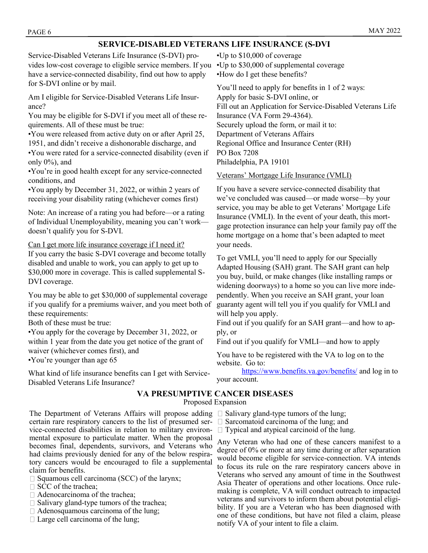#### MAY 2022

## **SERVICE-DISABLED VETERANS LIFE INSURANCE (S-DVI**

Service-Disabled Veterans Life Insurance (S-DVI) provides low-cost coverage to eligible service members. If you have a service-connected disability, find out how to apply for S-DVI online or by mail.

Am I eligible for Service-Disabled Veterans Life Insurance?

You may be eligible for S-DVI if you meet all of these requirements. All of these must be true:

•You were released from active duty on or after April 25, 1951, and didn't receive a dishonorable discharge, and

•You were rated for a service-connected disability (even if only 0%), and

•You're in good health except for any service-connected conditions, and

•You apply by December 31, 2022, or within 2 years of receiving your disability rating (whichever comes first)

Note: An increase of a rating you had before—or a rating of Individual Unemployability, meaning you can't work doesn't qualify you for S-DVI.

Can I get more life insurance coverage if I need it?

If you carry the basic S-DVI coverage and become totally disabled and unable to work, you can apply to get up to \$30,000 more in coverage. This is called supplemental S-DVI coverage.

You may be able to get \$30,000 of supplemental coverage if you qualify for a premiums waiver, and you meet both of these requirements:

Both of these must be true:

•You apply for the coverage by December 31, 2022, or within 1 year from the date you get notice of the grant of waiver (whichever comes first), and

•You're younger than age 65

What kind of life insurance benefits can I get with Service-Disabled Veterans Life Insurance?

certain rare respiratory cancers to the list of presumed service-connected disabilities in relation to military environmental exposure to particulate matter. When the proposal becomes final, dependents, survivors, and Veterans who had claims previously denied for any of the below respira-

•Up to \$10,000 of coverage

•Up to \$30,000 of supplemental coverage •How do I get these benefits?

 Regional Office and Insurance Center (RH) You'll need to apply for benefits in 1 of 2 ways: Apply for basic S-DVI online, or Fill out an Application for Service-Disabled Veterans Life Insurance (VA Form 29-4364). Securely upload the form, or mail it to: Department of Veterans Affairs PO Box 7208 Philadelphia, PA 19101

Veterans' Mortgage Life Insurance (VMLI)

If you have a severe service-connected disability that we've concluded was caused—or made worse—by your service, you may be able to get Veterans' Mortgage Life Insurance (VMLI). In the event of your death, this mortgage protection insurance can help your family pay off the home mortgage on a home that's been adapted to meet your needs.

To get VMLI, you'll need to apply for our Specially Adapted Housing (SAH) grant. The SAH grant can help you buy, build, or make changes (like installing ramps or widening doorways) to a home so you can live more independently. When you receive an SAH grant, your loan guaranty agent will tell you if you qualify for VMLI and will help you apply.

Find out if you qualify for an SAH grant—and how to apply, or

Find out if you qualify for VMLI—and how to apply

You have to be registered with the VA to log on to the website. Go to:

<https://www.benefits.va.gov/benefits/> and log in to your account.

## **VA PRESUMPTIVE CANCER DISEASES**

Proposed Expansion

- The Department of Veterans Affairs will propose adding  $\Box$  Salivary gland-type tumors of the lung;
	- $\Box$  Sarcomatoid carcinoma of the lung; and
	- $\Box$  Typical and atypical carcinoid of the lung.

Any Veteran who had one of these cancers manifest to a degree of 0% or more at any time during or after separation would become eligible for service-connection. VA intends to focus its rule on the rare respiratory cancers above in Veterans who served any amount of time in the Southwest Asia Theater of operations and other locations. Once rulemaking is complete, VA will conduct outreach to impacted veterans and survivors to inform them about potential eligibility. If you are a Veteran who has been diagnosed with one of these conditions, but have not filed a claim, please notify VA of your intent to file a claim.

tory cancers would be encouraged to file a supplemental claim for benefits.

- $\square$  Squamous cell carcinoma (SCC) of the larynx;
- $\Box$  SCC of the trachea:
- $\Box$  Adenocarcinoma of the trachea;
- $\Box$  Salivary gland-type tumors of the trachea;
- $\Box$  Adenosquamous carcinoma of the lung;
- $\Box$  Large cell carcinoma of the lung;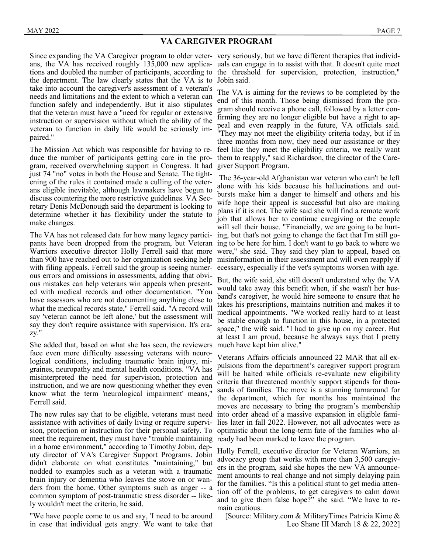#### **VA CAREGIVER PROGRAM**

ans, the VA has received roughly 135,000 new applica-uals can engage in to assist with that. It doesn't quite meet tions and doubled the number of participants, according to the threshold for supervision, protection, instruction," the department. The law clearly states that the VA is to Jobin said. take into account the caregiver's assessment of a veteran's needs and limitations and the extent to which a veteran can function safely and independently. But it also stipulates that the veteran must have a "need for regular or extensive instruction or supervision without which the ability of the veteran to function in daily life would be seriously impaired."

duce the number of participants getting care in the program, received overwhelming support in Congress. It had just 74 "no" votes in both the House and Senate. The tightening of the rules it contained made a culling of the veterans eligible inevitable, although lawmakers have begun to discuss countering the more restrictive guidelines. VA Secretary Denis McDonough said the department is looking to determine whether it has flexibility under the statute to make changes.

The VA has not released data for how many legacy particiwith filing appeals. Ferrell said the group is seeing numerous errors and omissions in assessments, adding that obvious mistakes can help veterans win appeals when presented with medical records and other documentation. "You have assessors who are not documenting anything close to what the medical records state," Ferrell said. "A record will say 'veteran cannot be left alone,' but the assessment will say they don't require assistance with supervision. It's crazy."

She added that, based on what she has seen, the reviewers face even more difficulty assessing veterans with neurological conditions, including traumatic brain injury, migraines, neuropathy and mental health conditions. "VA has misinterpreted the need for supervision, protection and instruction, and we are now questioning whether they even know what the term 'neurological impairment' means," Ferrell said.

The new rules say that to be eligible, veterans must need assistance with activities of daily living or require supervision, protection or instruction for their personal safety. To optimistic about the long-term fate of the families who almeet the requirement, they must have "trouble maintaining ready had been marked to leave the program. in a home environment," according to Timothy Jobin, deputy director of VA's Caregiver Support Programs. Jobin didn't elaborate on what constitutes "maintaining," but nodded to examples such as a veteran with a traumatic brain injury or dementia who leaves the stove on or wanders from the home. Other symptoms such as anger -- a common symptom of post-traumatic stress disorder -- likely wouldn't meet the criteria, he said.

"We have people come to us and say, 'I need to be around in case that individual gets angry. We want to take that

Since expanding the VA Caregiver program to older veter- very seriously, but we have different therapies that individ-

The Mission Act which was responsible for having to re-feel like they meet the eligibility criteria, we really want The VA is aiming for the reviews to be completed by the end of this month. Those being dismissed from the program should receive a phone call, followed by a letter confirming they are no longer eligible but have a right to appeal and even reapply in the future, VA officials said. "They may not meet the eligibility criteria today, but if in three months from now, they need our assistance or they them to reapply," said Richardson, the director of the Caregiver Support Program.

pants have been dropped from the program, but Veteran ing to be here for him. I don't want to go back to where we Warriors executive director Holly Ferrell said that more were," she said. They said they plan to appeal, based on than 900 have reached out to her organization seeking help misinformation in their assessment and will even reapply if The 36-year-old Afghanistan war veteran who can't be left alone with his kids because his hallucinations and outbursts make him a danger to himself and others and his wife hope their appeal is successful but also are making plans if it is not. The wife said she will find a remote work job that allows her to continue caregiving or the couple will sell their house. "Financially, we are going to be hurting, but that's not going to change the fact that I'm still goecessary, especially if the vet's symptoms worsen with age.

> But, the wife said, she still doesn't understand why the VA would take away this benefit when, if she wasn't her husband's caregiver, he would hire someone to ensure that he takes his prescriptions, maintains nutrition and makes it to medical appointments. "We worked really hard to at least be stable enough to function in this house, in a protected space," the wife said. "I had to give up on my career. But at least I am proud, because he always says that I pretty much have kept him alive."

> Veterans Affairs officials announced 22 MAR that all expulsions from the department's caregiver support program will be halted while officials re-evaluate new eligibility criteria that threatened monthly support stipends for thousands of families. The move is a stunning turnaround for the department, which for months has maintained the moves are necessary to bring the program's membership into order ahead of a massive expansion in eligible families later in fall 2022. However, not all advocates were as

> Holly Ferrell, executive director for Veteran Warriors, an advocacy group that works with more than 3,500 caregivers in the program, said she hopes the new VA announcement amounts to real change and not simply delaying pain for the families. "Is this a political stunt to get media attention off of the problems, to get caregivers to calm down and to give them false hope?" she said. "We have to remain cautious.

[Source: Military.com & MilitaryTimes Patricia Kime & Leo Shane III March 18 & 22, 2022]